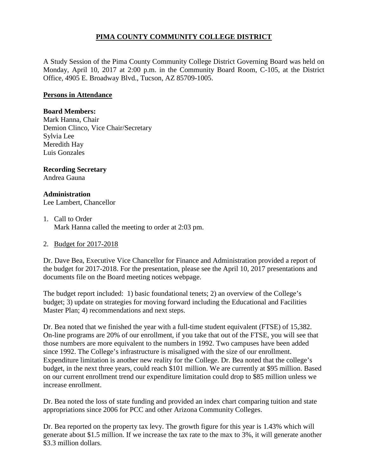# **PIMA COUNTY COMMUNITY COLLEGE DISTRICT**

A Study Session of the Pima County Community College District Governing Board was held on Monday, April 10, 2017 at 2:00 p.m. in the Community Board Room, C-105, at the District Office, 4905 E. Broadway Blvd., Tucson, AZ 85709-1005.

### **Persons in Attendance**

#### **Board Members:**

Mark Hanna, Chair Demion Clinco, Vice Chair/Secretary Sylvia Lee Meredith Hay Luis Gonzales

# **Recording Secretary**

Andrea Gauna

## **Administration**

Lee Lambert, Chancellor

## 1. Call to Order Mark Hanna called the meeting to order at 2:03 pm.

### 2. Budget for 2017-2018

Dr. Dave Bea, Executive Vice Chancellor for Finance and Administration provided a report of the budget for 2017-2018. For the presentation, please see the April 10, 2017 presentations and documents file on the Board meeting notices webpage.

The budget report included: 1) basic foundational tenets; 2) an overview of the College's budget; 3) update on strategies for moving forward including the Educational and Facilities Master Plan; 4) recommendations and next steps.

Dr. Bea noted that we finished the year with a full-time student equivalent (FTSE) of 15,382. On-line programs are 20% of our enrollment, if you take that out of the FTSE, you will see that those numbers are more equivalent to the numbers in 1992. Two campuses have been added since 1992. The College's infrastructure is misaligned with the size of our enrollment. Expenditure limitation is another new reality for the College. Dr. Bea noted that the college's budget, in the next three years, could reach \$101 million. We are currently at \$95 million. Based on our current enrollment trend our expenditure limitation could drop to \$85 million unless we increase enrollment.

Dr. Bea noted the loss of state funding and provided an index chart comparing tuition and state appropriations since 2006 for PCC and other Arizona Community Colleges.

Dr. Bea reported on the property tax levy. The growth figure for this year is 1.43% which will generate about \$1.5 million. If we increase the tax rate to the max to 3%, it will generate another \$3.3 million dollars.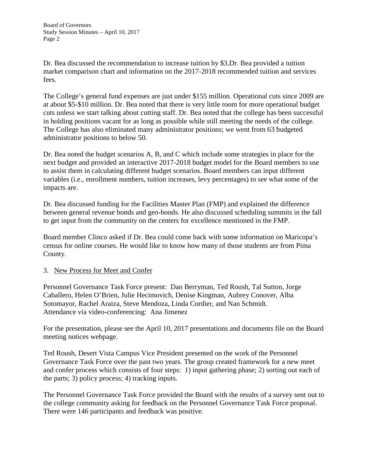Dr. Bea discussed the recommendation to increase tuition by \$3.Dr. Bea provided a tuition market comparison chart and information on the 2017-2018 recommended tuition and services fees.

The College's general fund expenses are just under \$155 million. Operational cuts since 2009 are at about \$5-\$10 million. Dr. Bea noted that there is very little room for more operational budget cuts unless we start talking about cutting staff. Dr. Bea noted that the college has been successful in holding positions vacant for as long as possible while still meeting the needs of the college. The College has also eliminated many administrator positions; we went from 63 budgeted administrator positions to below 50.

Dr. Bea noted the budget scenarios A, B, and C which include some strategies in place for the next budget and provided an interactive 2017-2018 budget model for the Board members to use to assist them in calculating different budget scenarios. Board members can input different variables (i.e., enrollment numbers, tuition increases, levy percentages) to see what some of the impacts are.

Dr. Bea discussed funding for the Facilities Master Plan (FMP) and explained the difference between general revenue bonds and geo-bonds. He also discussed scheduling summits in the fall to get input from the community on the centers for excellence mentioned in the FMP.

Board member Clinco asked if Dr. Bea could come back with some information on Maricopa's census for online courses. He would like to know how many of those students are from Pima County.

## 3. New Process for Meet and Confer

Personnel Governance Task Force present: Dan Berryman, Ted Roush, Tal Sutton, Jorge Caballero, Helen O'Brien, Julie Hecimovich, Denise Kingman, Aubrey Conover, Alba Sotomayor, Rachel Araiza, Steve Mendoza, Linda Cordier, and Nan Schmidt. Attendance via video-conferencing: Ana Jimenez

For the presentation, please see the April 10, 2017 presentations and documents file on the Board meeting notices webpage.

Ted Roush, Desert Vista Campus Vice President presented on the work of the Personnel Governance Task Force over the past two years. The group created framework for a new meet and confer process which consists of four steps: 1) input gathering phase; 2) sorting out each of the parts; 3) policy process; 4) tracking inputs.

The Personnel Governance Task Force provided the Board with the results of a survey sent out to the college community asking for feedback on the Personnel Governance Task Force proposal. There were 146 participants and feedback was positive.